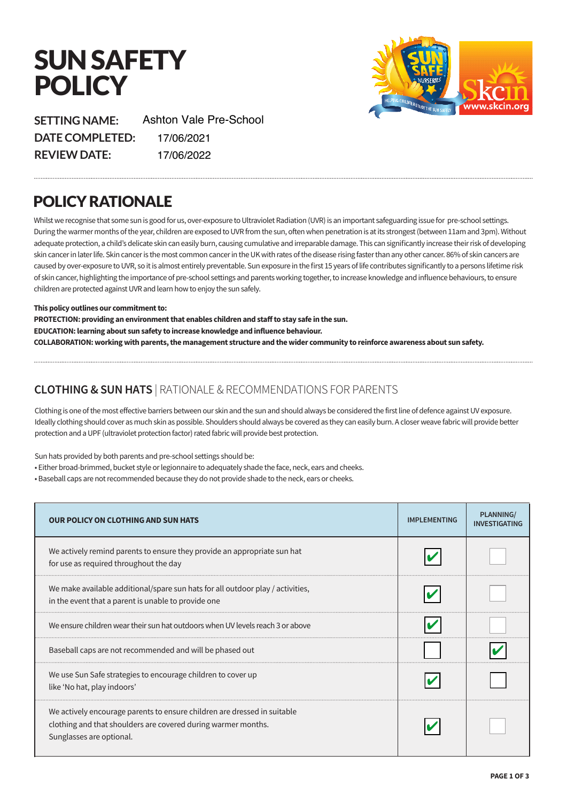# SUN SAFETY **POLICY**



**SETTING NAME: DATE COMPLETED: REVIEW DATE:** 17/06/2020 17/06/2021Ashton Vale Pre-School 17/06/2021 17/06/2022

# POLICY RATIONALE

Whilst we recognise that some sun is good for us, over-exposure to Ultraviolet Radiation (UVR) is an important safeguarding issue for pre-school settings. During the warmer months of the year, children are exposed to UVR from the sun, ofen when penetration is at its strongest (between 11am and 3pm). Without adequate protection, a child's delicate skin can easily burn, causing cumulative and irreparable damage. This can significantly increase their risk of developing skin cancer in later life. Skin cancer is the most common cancer in the UK with rates of the disease rising faster than any other cancer. 86% of skin cancers are caused by over-exposure to UVR, so it is almost entirely preventable. Sun exposure in the frst 15 years of life contributes signifcantly to a persons lifetime risk of skin cancer, highlighting the importance of pre-school settings and parents working together, to increase knowledge and infuence behaviours, to ensure children are protected against UVR and learn how to enjoy the sun safely.

#### **This policy outlines our commitment to:**

**PROTECTION: providing an environment that enables children and sta! to stay safe in the sun. EDUCATION: learning about sun safety to increase knowledge and influence behaviour. COLLABORATION: working with parents, the management structure and the wider community to reinforce awareness about sun safety.**

### **CLOTHING & SUN HATS** | RATIONALE & RECOMMENDATIONS FOR PARENTS

Clothing is one of the most effective barriers between our skin and the sun and should always be considered the first line of defene against UV exposure. Ideally clothing should cover as much skin as possible. Shoulders should always be covered as they can easily burn. A closer weave fabric will provide better protection and a UPF (ultraviolet protection factor) rated fabric will provide best protection.

Sun hats provided by both parents and pre-school settings should be:

- Either broad-brimmed, bucket style or legionnaire to adequately shade the face, neck, ears and cheeks.
- Baseball caps are not recommended because they do not provide shade to the neck, ears or cheeks.

| <b>OUR POLICY ON CLOTHING AND SUN HATS</b>                                                                                                                            | <b>IMPLEMENTING</b> | <b>PLANNING/</b><br><b>INVESTIGATING</b> |
|-----------------------------------------------------------------------------------------------------------------------------------------------------------------------|---------------------|------------------------------------------|
| We actively remind parents to ensure they provide an appropriate sun hat<br>for use as required throughout the day                                                    |                     |                                          |
| We make available additional/spare sun hats for all outdoor play / activities,<br>in the event that a parent is unable to provide one                                 |                     |                                          |
| We ensure children wear their sun hat outdoors when UV levels reach 3 or above                                                                                        |                     |                                          |
| Baseball caps are not recommended and will be phased out                                                                                                              |                     |                                          |
| We use Sun Safe strategies to encourage children to cover up<br>like 'No hat, play indoors'                                                                           |                     |                                          |
| We actively encourage parents to ensure children are dressed in suitable<br>clothing and that shoulders are covered during warmer months.<br>Sunglasses are optional. |                     |                                          |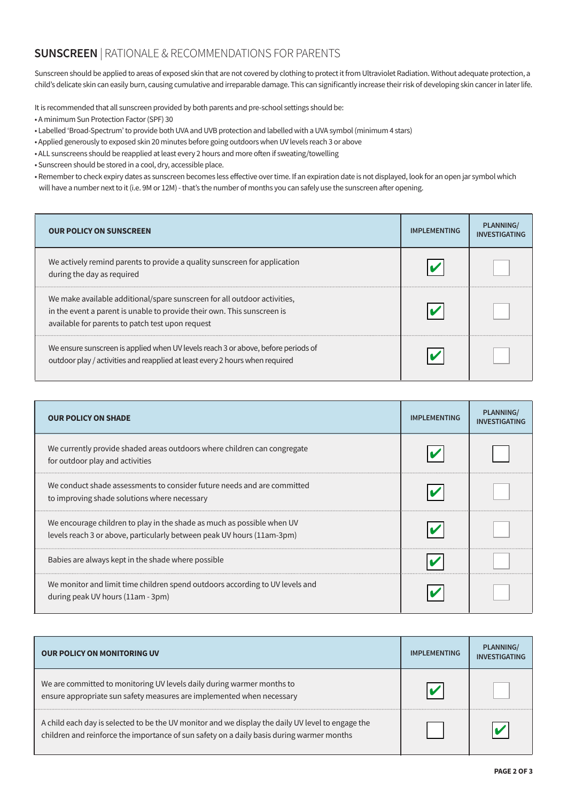## **SUNSCREEN** | RATIONALE & RECOMMENDATIONS FOR PARENTS

Sunscreen should be applied to areas of exposed skin that are not covered by clothing to protect it from Ultraviolet Radiation. Without adequate protection, a child's delicate skin can easily burn, causing cumulative and irreparable damage. This can signifcantly increase their risk of developing skin cancer in later life.

It is recommended that all sunscreen provided by both parents and pre-school settings should be:

- A minimum Sun Protection Factor (SPF) 30
- Labelled 'Broad-Spectrum' to provide both UVA and UVB protection and labelled with a UVA symbol (minimum 4 stars)
- Applied generously to exposed skin 20 minutes before going outdoors when UV levels reach 3 or above
- ALL sunscreens should be reapplied at least every 2 hours and more often if sweating/towelling
- Sunscreen should be stored in a cool, dry, accessible place.
- Remember to check expiry dates as sunscreen becomes less efective over time. If an expiration date is not displayed, look for an open jar symbol which will have a number next to it (i.e. 9M or 12M) - that's the number of months you can safely use the sunscreen afer opening.

| <b>OUR POLICY ON SUNSCREEN</b>                                                                                                                                                                          | <b>IMPLEMENTING</b> | <b>PLANNING/</b><br><b>INVESTIGATING</b> |
|---------------------------------------------------------------------------------------------------------------------------------------------------------------------------------------------------------|---------------------|------------------------------------------|
| We actively remind parents to provide a quality sunscreen for application<br>during the day as required                                                                                                 |                     |                                          |
| We make available additional/spare sunscreen for all outdoor activities,<br>in the event a parent is unable to provide their own. This sunscreen is<br>available for parents to patch test upon request |                     |                                          |
| We ensure sunscreen is applied when UV levels reach 3 or above, before periods of<br>outdoor play / activities and reapplied at least every 2 hours when required                                       |                     |                                          |

| <b>OUR POLICY ON SHADE</b>                                                                                                                       | <b>IMPLEMENTING</b> | <b>PLANNING/</b><br><b>INVESTIGATING</b> |
|--------------------------------------------------------------------------------------------------------------------------------------------------|---------------------|------------------------------------------|
| We currently provide shaded areas outdoors where children can congregate<br>for outdoor play and activities                                      |                     |                                          |
| We conduct shade assessments to consider future needs and are committed<br>to improving shade solutions where necessary                          |                     |                                          |
| We encourage children to play in the shade as much as possible when UV<br>levels reach 3 or above, particularly between peak UV hours (11am-3pm) |                     |                                          |
| Babies are always kept in the shade where possible                                                                                               |                     |                                          |
| We monitor and limit time children spend outdoors according to UV levels and<br>during peak UV hours (11am - 3pm)                                |                     |                                          |

| <b>OUR POLICY ON MONITORING UV</b>                                                                                                                                                             | <b>IMPLEMENTING</b> | PLANNING/<br><b>INVESTIGATING</b> |
|------------------------------------------------------------------------------------------------------------------------------------------------------------------------------------------------|---------------------|-----------------------------------|
| We are committed to monitoring UV levels daily during warmer months to<br>ensure appropriate sun safety measures are implemented when necessary                                                |                     |                                   |
| A child each day is selected to be the UV monitor and we display the daily UV level to engage the<br>children and reinforce the importance of sun safety on a daily basis during warmer months |                     |                                   |